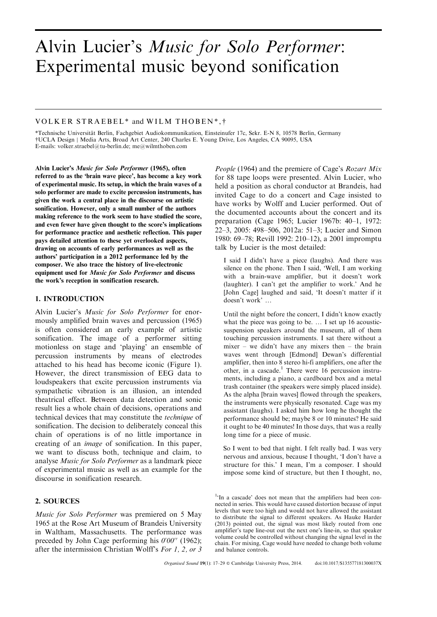# Alvin Lucier's Music for Solo Performer: Experimental music beyond sonification

# VOLKER STRAEBEL\* and WILM THOBEN\*,  $\dagger$

\*Technische Universita¨t Berlin, Fachgebiet Audiokommunikation, Einsteinufer 17c, Sekr. E-N 8, 10578 Berlin, Germany yUCLA Design j Media Arts, Broad Art Center, 240 Charles E. Young Drive, Los Angeles, CA 90095, USA E-mails: volker.straebel@tu-berlin.de; me@wilmthoben.com

Alvin Lucier's Music for Solo Performer (1965), often referred to as the 'brain wave piece', has become a key work of experimental music. Its setup, in which the brain waves of a solo performer are made to excite percussion instruments, has given the work a central place in the discourse on artistic sonification. However, only a small number of the authors making reference to the work seem to have studied the score, and even fewer have given thought to the score's implications for performance practice and aesthetic reflection. This paper pays detailed attention to these yet overlooked aspects, drawing on accounts of early performances as well as the authors' participation in a 2012 performance led by the composer. We also trace the history of live-electronic equipment used for Music for Solo Performer and discuss the work's reception in sonification research.

## 1. INTRODUCTION

Alvin Lucier's Music for Solo Performer for enormously amplified brain waves and percussion (1965) is often considered an early example of artistic sonification. The image of a performer sitting motionless on stage and 'playing' an ensemble of percussion instruments by means of electrodes attached to his head has become iconic [\(Figure 1\)](#page-1-0). However, the direct transmission of EEG data to loudspeakers that excite percussion instruments via sympathetic vibration is an illusion, an intended theatrical effect. Between data detection and sonic result lies a whole chain of decisions, operations and technical devices that may constitute the technique of sonification. The decision to deliberately conceal this chain of operations is of no little importance in creating of an image of sonification. In this paper, we want to discuss both, technique and claim, to analyse Music for Solo Performer as a landmark piece of experimental music as well as an example for the discourse in sonification research.

## 2. SOURCES

Music for Solo Performer was premiered on 5 May 1965 at the Rose Art Museum of Brandeis University in Waltham, Massachusetts. The performance was preceded by John Cage performing his  $0'00''$  (1962); after the intermission Christian Wolff's For 1, 2, or 3

People (1964) and the premiere of Cage's Rozart Mix for 88 tape loops were presented. Alvin Lucier, who held a position as choral conductor at Brandeis, had invited Cage to do a concert and Cage insisted to have works by Wolff and Lucier performed. Out of the documented accounts about the concert and its preparation (Cage [1965](#page-10-0); Lucier [1967b:](#page-11-0) 40–1, [1972](#page-11-0): 22–3, [2005:](#page-11-0) 498–506, [2012a:](#page-11-0) 51–3; Lucier and Simon [1980:](#page-11-0) 69–78; Revill [1992:](#page-11-0) 210–12), a 2001 impromptu talk by Lucier is the most detailed:

I said I didn't have a piece (laughs). And there was silence on the phone. Then I said, 'Well, I am working with a brain-wave amplifier, but it doesn't work (laughter). I can't get the amplifier to work.' And he [John Cage] laughed and said, 'It doesn't matter if it doesn't work' ...

Until the night before the concert, I didn't know exactly what the piece was going to be. ... I set up 16 acousticsuspension speakers around the museum, all of them touching percussion instruments. I sat there without a mixer – we didn't have any mixers then – the brain waves went through [Edmond] Dewan's differential amplifier, then into 8 stereo hi-fi amplifiers, one after the other, in a cascade.<sup>1</sup> There were 16 percussion instruments, including a piano, a cardboard box and a metal trash container (the speakers were simply placed inside). As the alpha [brain waves] flowed through the speakers, the instruments were physically resonated. Cage was my assistant (laughs). I asked him how long he thought the performance should be; maybe 8 or 10 minutes? He said it ought to be 40 minutes! In those days, that was a really long time for a piece of music.

So I went to bed that night. I felt really bad. I was very nervous and anxious, because I thought, 'I don't have a structure for this.' I mean, I'm a composer. I should impose some kind of structure, but then I thought, no,

Organised Sound 19(1): 17–29 & Cambridge University Press, 2014. doi:10.1017/S135577181300037X

<sup>&</sup>lt;sup>1</sup>'In a cascade' does not mean that the amplifiers had been connected in series. This would have caused distortion because of input levels that were too high and would not have allowed the assistant to distribute the signal to different speakers. As Hauke Harder ([2013](#page-11-0)) pointed out, the signal was most likely routed from one amplifier's tape line-out out the next one's line-in, so that speaker volume could be controlled without changing the signal level in the chain. For mixing, Cage would have needed to change both volume and balance controls.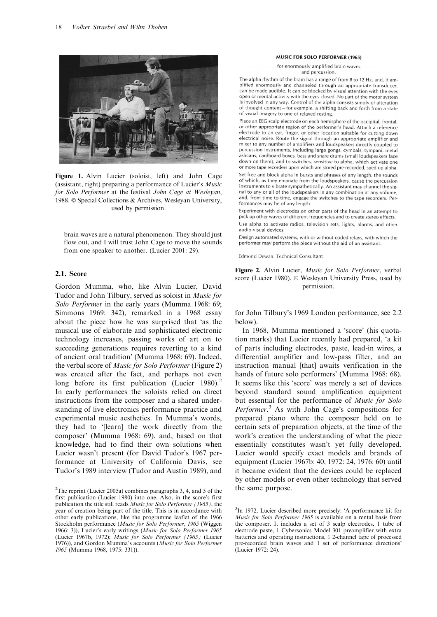<span id="page-1-0"></span>

Figure 1. Alvin Lucier (soloist, left) and John Cage (assistant, right) preparing a performance of Lucier's Music for Solo Performer at the festival John Cage at Wesleyan, 1988. © Special Collections & Archives, Wesleyan University, used by permission.

brain waves are a natural phenomenon. They should just flow out, and I will trust John Cage to move the sounds from one speaker to another. (Lucier [2001](#page-11-0): 29).

#### 2.1. Score

Gordon Mumma, who, like Alvin Lucier, David Tudor and John Tilbury, served as soloist in Music for Solo Performer in the early years (Mumma [1968:](#page-11-0) 69; Simmons [1969:](#page-12-0) 342), remarked in a 1968 essay about the piece how he was surprised that 'as the musical use of elaborate and sophisticated electronic technology increases, passing works of art on to succeeding generations requires reverting to a kind of ancient oral tradition' (Mumma [1968](#page-11-0): 69). Indeed, the verbal score of Music for Solo Performer (Figure 2) was created after the fact, and perhaps not even long before its first publication (Lucier [1980\)](#page-11-0).<sup>2</sup> In early performances the soloists relied on direct instructions from the composer and a shared understanding of live electronics performance practice and experimental music aesthetics. In Mumma's words, they had to '[learn] the work directly from the composer' (Mumma [1968:](#page-11-0) 69), and, based on that knowledge, had to find their own solutions when Lucier wasn't present (for David Tudor's 1967 performance at University of California Davis, see Tudor's 1989 interview (Tudor and Austin [1989\)](#page-12-0), and

#### MUSIC FOR SOLO PERFORMER (1965)

for enormously amplified brain waves and percussion.

The alpha rhythm of the brain has a range of from 8 to 12 Hz, and, if amplified enormously and channeled through an appropriate transducer, can be made audible. It can be blocked by visual attention with the eves open or mental activity with the eyes closed. No part of the motor system is involved in any way. Control of the alpha consists simply of alteration of thought content-for example, a shifting back and forth from a state of visual imagery to one of relaxed resting.

Place an EEG scalp electrode on each hemisphere of the occipital, frontal, or other appropriate region of the performer's head. Attach a reference electrode to an ear, finger, or other location suitable for cutting down electrical noise. Route the signal through an appropriate amplifier and mixer to any number of amplifiers and loudspeakers directly coupled to percussion instruments, including large gongs, cymbals, tympani, metal ashcans, cardboard boxes, bass and snare drums (small loudspeakers face down on them), and to switches, sensitive to alpha, which activate one or more tape recorders upon which are stored pre-recorded, sped-up alpha. Set free and block alpha in bursts and phrases of any length, the sounds of which, as they emanate from the loudspeakers, cause the percussion instruments to vibrate sympathetically. An assistant may channel the signal to any or all of the loudspeakers in any combination at any volume and, from time to time, engage the switches to the tape recorders. Per-

formances may be of any length. Experiment with electrodes on other parts of the head in an attempt to pick up other waves of different frequencies and to create stereo effects. Use alpha to activate radios, television sets, lights, alarms, and other audio-visual devices

Design automated systems, with or without coded relays, with which the performer may perform the piece without the aid of an assistant.

Edmond Dewan, Technical Consultant

## Figure 2. Alvin Lucier, Music for Solo Performer, verbal score (Lucier [1980\)](#page-11-0). © Wesleyan University Press, used by permission.

for John Tilbury's 1969 London performance, see 2.2 below).

In 1968, Mumma mentioned a 'score' (his quotation marks) that Lucier recently had prepared, 'a kit of parts including electrodes, paste, lead-in wires, a differential amplifier and low-pass filter, and an instruction manual [that] awaits verification in the hands of future solo performers' (Mumma [1968:](#page-11-0) 68). It seems like this 'score' was merely a set of devices beyond standard sound amplification equipment but essential for the performance of Music for Solo Performer. <sup>3</sup> As with John Cage's compositions for prepared piano where the composer held on to certain sets of preparation objects, at the time of the work's creation the understanding of what the piece essentially constitutes wasn't yet fully developed. Lucier would specify exact models and brands of equipment (Lucier [1967b](#page-11-0): 40, [1972:](#page-11-0) 24, [1976:](#page-11-0) 60) until it became evident that the devices could be replaced by other models or even other technology that served the same purpose.

<sup>&</sup>lt;sup>2</sup>The reprint (Lucier [2005a\)](#page-11-0) combines paragraphs 3, 4, and 5 of the first publication (Lucier [1980\)](#page-11-0) into one. Also, in the score's first publication the title still reads Music for Solo Performer (1965), the year of creation being part of the title. This is in accordance with other early publications, like the programme leaflet of the 1966 Stockholm performance (Music for Solo Performer, 1965 (Wiggen [1966](#page-12-0): 3)), Lucier's early writings (Music for Solo Performer 1965 (Lucier [1967b](#page-11-0), [1972](#page-11-0)); Music for Solo Performer (1965) (Lucier [1976](#page-11-0))), and Gordon Mumma's accounts (Music for Solo Performer 1965 (Mumma [1968](#page-11-0), [1975](#page-11-0): 331)).

<sup>&</sup>lt;sup>3</sup>In 1972, Lucier described more precisely: 'A performance kit for Music for Solo Performer 1965 is available on a rental basis from the composer. It includes a set of 3 scalp electrodes, 1 tube of electrode paste, 1 Cybersonics Model 301 preamplifier with extra batteries and operating instructions, 1 2-channel tape of processed pre-recorded brain waves and 1 set of performance directions' (Lucier [1972](#page-11-0): 24).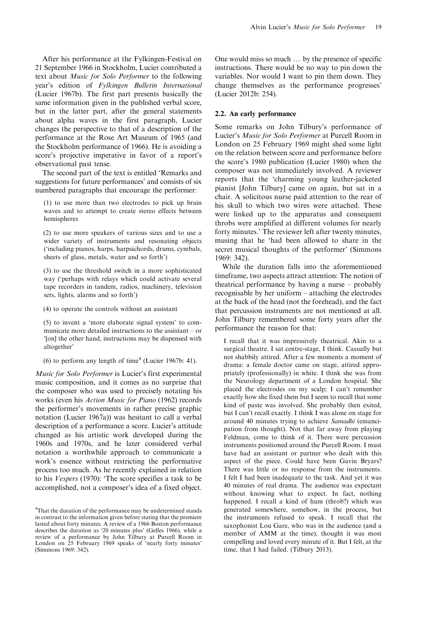After his performance at the Fylkingen-Festival on 21 September 1966 in Stockholm, Lucier contributed a text about Music for Solo Performer to the following year's edition of Fylkingen Bulletin International (Lucier [1967b\)](#page-11-0). The first part presents basically the same information given in the published verbal score, but in the latter part, after the general statements about alpha waves in the first paragraph, Lucier changes the perspective to that of a description of the performance at the Rose Art Museum of 1965 (and the Stockholm performance of 1966). He is avoiding a score's projective imperative in favor of a report's observational past tense.

The second part of the text is entitled 'Remarks and suggestions for future performances' and consists of six numbered paragraphs that encourage the performer:

(1) to use more than two electrodes to pick up brain waves and to attempt to create stereo effects between hemispheres

(2) to use more speakers of various sizes and to use a wider variety of instruments and resonating objects ('including pianos, harps, harpsichords, drums, cymbals, sheets of glass, metals, water and so forth')

(3) to use the threshold switch in a more sophisticated way ('perhaps with relays which could activate several tape recorders in tandem, radios, machinery, television sets, lights, alarms and so forth')

(4) to operate the controls without an assistant

(5) to invent a 'more elaborate signal system' to communicate more detailed instructions to the assistant – or '[on] the other hand, instructions may be dispensed with altogether'

(6) to perform any length of time<sup>4</sup> (Lucier [1967b:](#page-11-0) 41).

Music for Solo Performer is Lucier's first experimental music composition, and it comes as no surprise that the composer who was used to precisely notating his works (even his Action Music for Piano (1962) records the performer's movements in rather precise graphic notation (Lucier [1967a](#page-11-0))) was hesitant to call a verbal description of a performance a score. Lucier's attitude changed as his artistic work developed during the 1960s and 1970s, and he later considered verbal notation a worthwhile approach to communicate a work's essence without restricting the performative process too much. As he recently explained in relation to his Vespers (1970): 'The score specifies a task to be accomplished, not a composer's idea of a fixed object. One would miss so much ... by the presence of specific instructions. There would be no way to pin down the variables. Nor would I want to pin them down. They change themselves as the performance progresses' (Lucier [2012b](#page-11-0): 254).

## 2.2. An early performance

Some remarks on John Tilbury's performance of Lucier's Music for Solo Performer at Purcell Room in London on 25 February 1969 might shed some light on the relation between score and performance before the score's 1980 publication (Lucier [1980](#page-11-0)) when the composer was not immediately involved. A reviewer reports that the 'charming young leather-jacketed pianist [John Tilbury] came on again, but sat in a chair. A solicitous nurse paid attention to the rear of his skull to which two wires were attached. These were linked up to the apparatus and consequent throbs were amplified at different volumes for nearly forty minutes.' The reviewer left after twenty minutes, musing that he 'had been allowed to share in the secret musical thoughts of the performer' (Simmons [1969:](#page-12-0) 342).

While the duration falls into the aforementioned timeframe, two aspects attract attention: The notion of theatrical performance by having a nurse – probably recognisable by her uniform – attaching the electrodes at the back of the head (not the forehead), and the fact that percussion instruments are not mentioned at all. John Tilbury remembered some forty years after the performance the reason for that:

I recall that it was impressively theatrical. Akin to a surgical theatre. I sat centre-stage, I think. Casually but not shabbily attired. After a few moments a moment of drama: a female doctor came on stage, attired appropriately (professionally) in white. I think she was from the Neurology department of a London hospital. She placed the electrodes on my scalp; I can't remember exactly how she fixed them but I seem to recall that some kind of paste was involved. She probably then exited, but I can't recall exactly. I think I was alone on stage for around 40 minutes trying to achieve Samadhi (emancipation from thought). Not that far away from playing Feldman, come to think of it. There were percussion instruments positioned around the Purcell Room. I must have had an assistant or partner who dealt with this aspect of the piece. Could have been Gavin Bryars? There was little or no response from the instruments. I felt I had been inadequate to the task. And yet it was 40 minutes of real drama. The audience was expectant without knowing what to expect. In fact, nothing happened. I recall a kind of hum (throb?) which was generated somewhere, somehow, in the process, but the instruments refused to speak. I recall that the saxophonist Lou Gare, who was in the audience (and a member of AMM at the time), thought it was most compelling and loved every minute of it. But I felt, at the time, that I had failed. (Tilbury [2013](#page-12-0)).

<sup>&</sup>lt;sup>4</sup>That the duration of the performance may be undetermined stands in contrast to the information given before stating that the premiere lasted about forty minutes. A review of a 1966 Boston performance describes the duration as '20 minutes plus' (Gelles [1966](#page-11-0)), while a review of a performance by John Tilbury at Purcell Room in London on 25 February 1969 speaks of 'nearly forty minutes' (Simmons [1969](#page-12-0): 342).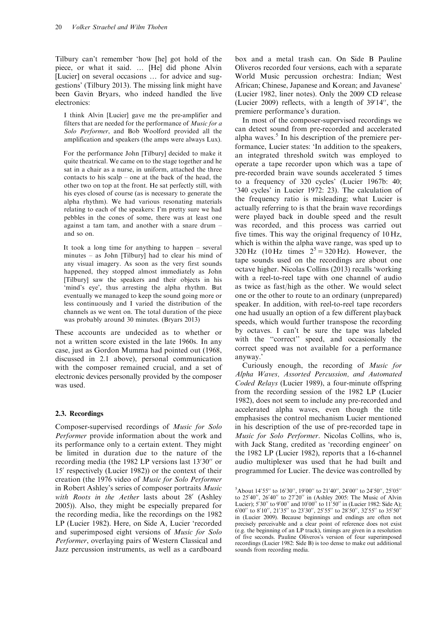Tilbury can't remember 'how [he] got hold of the piece, or what it said. ... [He] did phone Alvin [Lucier] on several occasions ... for advice and suggestions' (Tilbury [2013\)](#page-12-0). The missing link might have been Gavin Bryars, who indeed handled the live electronics:

I think Alvin [Lucier] gave me the pre-amplifier and filters that are needed for the performance of Music for a Solo Performer, and Bob Woolford provided all the amplification and speakers (the amps were always Lux).

For the performance John [Tilbury] decided to make it quite theatrical. We came on to the stage together and he sat in a chair as a nurse, in uniform, attached the three contacts to his scalp – one at the back of the head, the other two on top at the front. He sat perfectly still, with his eyes closed of course (as is necessary to generate the alpha rhythm). We had various resonating materials relating to each of the speakers: I'm pretty sure we had pebbles in the cones of some, there was at least one against a tam tam, and another with a snare drum – and so on.

It took a long time for anything to happen – several minutes – as John [Tilbury] had to clear his mind of any visual imagery. As soon as the very first sounds happened, they stopped almost immediately as John [Tilbury] saw the speakers and their objects in his 'mind's eye', thus arresting the alpha rhythm. But eventually we managed to keep the sound going more or less continuously and I varied the distribution of the channels as we went on. The total duration of the piece was probably around 30 minutes. (Bryars [2013\)](#page-10-0)

These accounts are undecided as to whether or not a written score existed in the late 1960s. In any case, just as Gordon Mumma had pointed out (1968, discussed in 2.1 above), personal communication with the composer remained crucial, and a set of electronic devices personally provided by the composer was used.

# 2.3. Recordings

Composer-supervised recordings of Music for Solo Performer provide information about the work and its performance only to a certain extent. They might be limited in duration due to the nature of the recording media (the 1982 LP versions last 13'30" or  $15'$  respectively (Lucier [1982](#page-11-0))) or the context of their creation (the 1976 video of Music for Solo Performer in Robert Ashley's series of composer portraits Music with Roots in the Aether lasts about  $28'$  (Ashley [2005](#page-10-0))). Also, they might be especially prepared for the recording media, like the recordings on the 1982 LP (Lucier [1982](#page-11-0)). Here, on Side A, Lucier 'recorded and superimposed eight versions of Music for Solo Performer, overlaying pairs of Western Classical and Jazz percussion instruments, as well as a cardboard box and a metal trash can. On Side B Pauline Oliveros recorded four versions, each with a separate World Music percussion orchestra: Indian; West African; Chinese, Japanese and Korean; and Javanese' (Lucier [1982,](#page-11-0) liner notes). Only the 2009 CD release (Lucier [2009\)](#page-11-0) reflects, with a length of  $39'14''$ , the premiere performance's duration.

In most of the composer-supervised recordings we can detect sound from pre-recorded and accelerated alpha waves. $<sup>5</sup>$  In his description of the premiere per-</sup> formance, Lucier states: 'In addition to the speakers, an integrated threshold switch was employed to operate a tape recorder upon which was a tape of pre-recorded brain wave sounds accelerated 5 times to a frequency of 320 cycles' (Lucier [1967b:](#page-11-0) 40; '340 cycles' in Lucier [1972:](#page-11-0) 23). The calculation of the frequency ratio is misleading; what Lucier is actually referring to is that the brain wave recordings were played back in double speed and the result was recorded, and this process was carried out five times. This way the original frequency of 10 Hz, which is within the alpha wave range, was sped up to 320 Hz (10 Hz times  $2^5 = 320$  Hz). However, the tape sounds used on the recordings are about one octave higher. Nicolas Collins [\(2013\)](#page-10-0) recalls 'working with a reel-to-reel tape with one channel of audio as twice as fast/high as the other. We would select one or the other to route to an ordinary (unprepared) speaker. In addition, with reel-to-reel tape recorders one had usually an option of a few different playback speeds, which would further transpose the recording by octaves. I can't be sure the tape was labeled with the "correct" speed, and occasionally the correct speed was not available for a performance anyway.'

Curiously enough, the recording of Music for Alpha Waves, Assorted Percussion, and Automated Coded Relays (Lucier [1989](#page-11-0)), a four-minute offspring from the recording session of the 1982 LP (Lucier [1982](#page-11-0)), does not seem to include any pre-recorded and accelerated alpha waves, even though the title emphasises the control mechanism Lucier mentioned in his description of the use of pre-recorded tape in Music for Solo Performer. Nicolas Collins, who is, with Jack Stang, credited as 'recording engineer' on the 1982 LP (Lucier [1982\)](#page-11-0), reports that a 16-channel audio multiplexer was used that he had built and programmed for Lucier. The device was controlled by

<sup>&</sup>lt;sup>5</sup>About 14'55" to 16'30", 19'00" to 21'40", 24'00" to 24'50", 25'05" to 25'40", 26'40" to 27'20" in (Ashley [2005:](#page-10-0) The Music of Alvin Lucier); 5'30" to 9'00" and 10'00" to 11'50" in (Lucier [1982:](#page-11-0) Side A); 6'00" to 8'10", 21'35" to 23'30", 25'55" to 28'50", 32'55" to 35'50" in (Lucier [2009\)](#page-11-0). Because beginnings and endings are often not precisely perceivable and a clear point of reference does not exist (e.g. the beginning of an LP track), timings are given in a resolution of five seconds. Pauline Oliveros's version of four superimposed recordings (Lucier [1982:](#page-11-0) Side B) is too dense to make out additional sounds from recording media.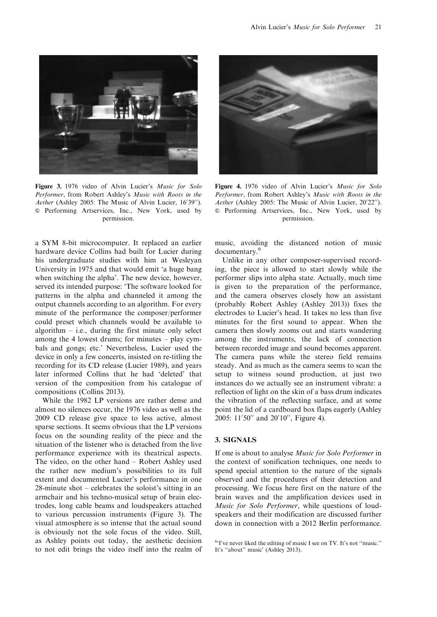

Figure 3. 1976 video of Alvin Lucier's *Music for Solo* Performer, from Robert Ashley's Music with Roots in the Aether (Ashley [2005](#page-10-0): The Music of Alvin Lucier, 16'39"). & Performing Artservices, Inc., New York, used by permission.

a SYM 8-bit microcomputer. It replaced an earlier hardware device Collins had built for Lucier during his undergraduate studies with him at Wesleyan University in 1975 and that would emit 'a huge bang when switching the alpha'. The new device, however, served its intended purpose: 'The software looked for patterns in the alpha and channeled it among the output channels according to an algorithm. For every minute of the performance the composer/performer could preset which channels would be available to algorithm  $-$  i.e., during the first minute only select among the 4 lowest drums; for minutes – play cymbals and gongs; etc.' Nevertheless, Lucier used the device in only a few concerts, insisted on re-titling the recording for its CD release (Lucier [1989\)](#page-11-0), and years later informed Collins that he had 'deleted' that version of the composition from his catalogue of compositions (Collins [2013](#page-10-0)).

While the 1982 LP versions are rather dense and almost no silences occur, the 1976 video as well as the 2009 CD release give space to less active, almost sparse sections. It seems obvious that the LP versions focus on the sounding reality of the piece and the situation of the listener who is detached from the live performance experience with its theatrical aspects. The video, on the other hand – Robert Ashley used the rather new medium's possibilities to its full extent and documented Lucier's performance in one 28-minute shot – celebrates the soloist's sitting in an armchair and his techno-musical setup of brain electrodes, long cable beams and loudspeakers attached to various percussion instruments (Figure 3). The visual atmosphere is so intense that the actual sound is obviously not the sole focus of the video. Still, as Ashley points out today, the aesthetic decision to not edit brings the video itself into the realm of



Figure 4. 1976 video of Alvin Lucier's *Music for Solo* Performer, from Robert Ashley's Music with Roots in the Aether (Ashley [2005](#page-10-0): The Music of Alvin Lucier, 20'22"). & Performing Artservices, Inc., New York, used by permission.

music, avoiding the distanced notion of music documentary.<sup>6</sup>

Unlike in any other composer-supervised recording, the piece is allowed to start slowly while the performer slips into alpha state. Actually, much time is given to the preparation of the performance, and the camera observes closely how an assistant (probably Robert Ashley (Ashley [2013](#page-10-0))) fixes the electrodes to Lucier's head. It takes no less than five minutes for the first sound to appear. When the camera then slowly zooms out and starts wandering among the instruments, the lack of connection between recorded image and sound becomes apparent. The camera pans while the stereo field remains steady. And as much as the camera seems to scan the setup to witness sound production, at just two instances do we actually see an instrument vibrate: a reflection of light on the skin of a bass drum indicates the vibration of the reflecting surface, and at some point the lid of a cardboard box flaps eagerly (Ashley [2005:](#page-10-0) 11'50" and 20'10", Figure 4).

#### 3. SIGNALS

If one is about to analyse Music for Solo Performer in the context of sonification techniques, one needs to spend special attention to the nature of the signals observed and the procedures of their detection and processing. We focus here first on the nature of the brain waves and the amplification devices used in Music for Solo Performer, while questions of loudspeakers and their modification are discussed further down in connection with a 2012 Berlin performance.

<sup>6</sup> 'I've never liked the editing of music I see on TV. It's not ''music.'' It's ''about'' music' (Ashley [2013](#page-10-0)).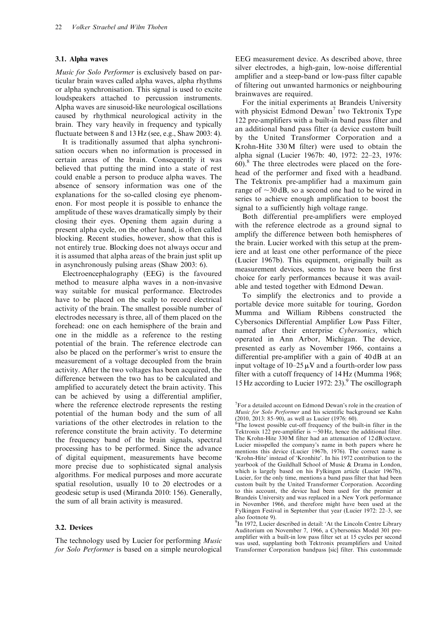## 3.1. Alpha waves

Music for Solo Performer is exclusively based on particular brain waves called alpha waves, alpha rhythms or alpha synchronisation. This signal is used to excite loudspeakers attached to percussion instruments. Alpha waves are sinusoid-like neurological oscillations caused by rhythmical neurological activity in the brain. They vary heavily in frequency and typically fluctuate between 8 and 13 Hz (see, e.g., Shaw [2003:](#page-12-0) 4).

It is traditionally assumed that alpha synchronisation occurs when no information is processed in certain areas of the brain. Consequently it was believed that putting the mind into a state of rest could enable a person to produce alpha waves. The absence of sensory information was one of the explanations for the so-called closing eye phenomenon. For most people it is possible to enhance the amplitude of these waves dramatically simply by their closing their eyes. Opening them again during a present alpha cycle, on the other hand, is often called blocking. Recent studies, however, show that this is not entirely true. Blocking does not always occur and it is assumed that alpha areas of the brain just split up in asynchronously pulsing areas (Shaw [2003:](#page-12-0) 6).

Electroencephalography (EEG) is the favoured method to measure alpha waves in a non-invasive way suitable for musical performance. Electrodes have to be placed on the scalp to record electrical activity of the brain. The smallest possible number of electrodes necessary is three, all of them placed on the forehead: one on each hemisphere of the brain and one in the middle as a reference to the resting potential of the brain. The reference electrode can also be placed on the performer's wrist to ensure the measurement of a voltage decoupled from the brain activity. After the two voltages has been acquired, the difference between the two has to be calculated and amplified to accurately detect the brain activity. This can be achieved by using a differential amplifier, where the reference electrode represents the resting potential of the human body and the sum of all variations of the other electrodes in relation to the reference constitute the brain activity. To determine the frequency band of the brain signals, spectral processing has to be performed. Since the advance of digital equipment, measurements have become more precise due to sophisticated signal analysis algorithms. For medical purposes and more accurate spatial resolution, usually 10 to 20 electrodes or a geodesic setup is used (Miranda [2010](#page-11-0): 156). Generally, the sum of all brain activity is measured.

#### 3.2. Devices

The technology used by Lucier for performing *Music* for Solo Performer is based on a simple neurological EEG measurement device. As described above, three silver electrodes, a high-gain, low-noise differential amplifier and a steep-band or low-pass filter capable of filtering out unwanted harmonics or neighbouring brainwaves are required.

For the initial experiments at Brandeis University with physicist Edmond Dewan<sup>7</sup> two Tektronix Type 122 pre-amplifiers with a built-in band pass filter and an additional band pass filter (a device custom built by the United Transformer Corporation and a Krohn-Hite 330 M filter) were used to obtain the alpha signal (Lucier [1967b:](#page-11-0) 40, 1972: 22–23, 1976: 60).<sup>8</sup> The three electrodes were placed on the forehead of the performer and fixed with a headband. The Tektronix pre-amplifier had a maximum gain range of  $\sim$ 30 dB, so a second one had to be wired in series to achieve enough amplification to boost the signal to a sufficiently high voltage range.

Both differential pre-amplifiers were employed with the reference electrode as a ground signal to amplify the difference between both hemispheres of the brain. Lucier worked with this setup at the premiere and at least one other performance of the piece (Lucier [1967b](#page-11-0)). This equipment, originally built as measurement devices, seems to have been the first choice for early performances because it was available and tested together with Edmond Dewan.

To simplify the electronics and to provide a portable device more suitable for touring, Gordon Mumma and William Ribbens constructed the Cybersonics Differential Amplifier Low Pass Filter, named after their enterprise Cybersonics, which operated in Ann Arbor, Michigan. The device, presented as early as November 1966, contains a differential pre-amplifier with a gain of 40 dB at an input voltage of  $10-25 \mu V$  and a fourth-order low pass filter with a cutoff frequency of 14 Hz (Mumma [1968;](#page-11-0) 15 Hz according to Lucier [1972](#page-11-0): 23). <sup>9</sup> The oscillograph

<sup>7</sup> For a detailed account on Edmond Dewan's role in the creation of Music for Solo Performer and his scientific background see Kahn ([2010, 2013:](#page-11-0) 85–90), as well as Lucier [\(1976](#page-11-0): 60).

 ${}^{8}$ The lowest possible cut-off frequency of the built-in filter in the Tektronix 122 pre-amplifier is  $\sim 50$  Hz, hence the additional filter. The Krohn-Hite  $330 \text{ M}$  filter had an attenuation of  $12 \text{ dB}/\text{octave}$ . Lucier misspelled the company's name in both papers where he mentions this device (Lucier [1967b, 1976\)](#page-11-0). The correct name is 'Krohn-Hite' instead of 'Kronhite'. In his 1972 contribution to the yearbook of the Guildhall School of Music & Drama in London, which is largely based on his Fylkingen article (Lucier [1967b\)](#page-11-0), Lucier, for the only time, mentions a band pass filter that had been custom built by the United Transformer Corporation. According to this account, the device had been used for the premier at Brandeis University and was replaced in a New York performance in November 1966, and therefore might have been used at the Fylkingen Festival in September that year (Lucier [1972:](#page-11-0) 22–3, see also footnote 9).

<sup>&</sup>lt;sup>9</sup>In 1972, Lucier described in detail: 'At the Lincoln Centre Library Auditorium on November 7, 1966, a Cybersonics Model 301 preamplifier with a built-in low pass filter set at 15 cycles per second was used, supplanting both Tektronix preamplifiers and United Transformer Corporation bandpass [sic] filter. This custommade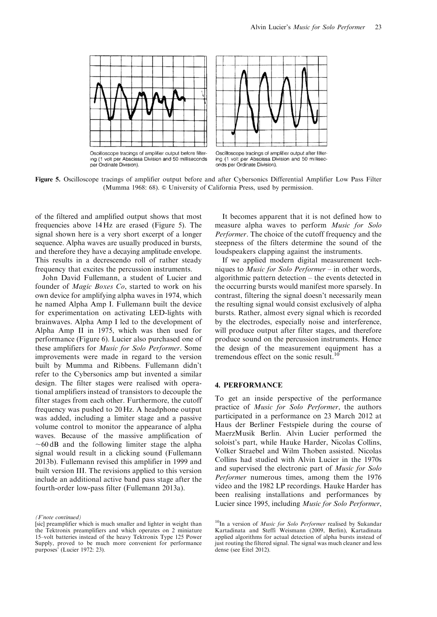

Figure 5. Oscilloscope tracings of amplifier output before and after Cybersonics Differential Amplifier Low Pass Filter (Mumma [1968:](#page-11-0) 68). © University of California Press, used by permission.

of the filtered and amplified output shows that most frequencies above 14 Hz are erased (Figure 5). The signal shown here is a very short excerpt of a longer sequence. Alpha waves are usually produced in bursts, and therefore they have a decaying amplitude envelope. This results in a decrescendo roll of rather steady frequency that excites the percussion instruments.

John David Fullemann, a student of Lucier and founder of Magic Boxes Co, started to work on his own device for amplifying alpha waves in 1974, which he named Alpha Amp I. Fullemann built the device for experimentation on activating LED-lights with brainwaves. Alpha Amp I led to the development of Alpha Amp II in 1975, which was then used for performance ([Figure 6](#page-7-0)). Lucier also purchased one of these amplifiers for Music for Solo Performer. Some improvements were made in regard to the version built by Mumma and Ribbens. Fullemann didn't refer to the Cybersonics amp but invented a similar design. The filter stages were realised with operational amplifiers instead of transistors to decouple the filter stages from each other. Furthermore, the cutoff frequency was pushed to 20 Hz. A headphone output was added, including a limiter stage and a passive volume control to monitor the appearance of alpha waves. Because of the massive amplification of  $\sim60$  dB and the following limiter stage the alpha signal would result in a clicking sound (Fullemann [2013b](#page-11-0)). Fullemann revised this amplifier in 1999 and built version III. The revisions applied to this version include an additional active band pass stage after the fourth-order low-pass filter (Fullemann [2013a](#page-10-0)).

(F'note continued)

It becomes apparent that it is not defined how to measure alpha waves to perform *Music for Solo* Performer. The choice of the cutoff frequency and the steepness of the filters determine the sound of the loudspeakers clapping against the instruments.

If we applied modern digital measurement techniques to *Music for Solo Performer* – in other words, algorithmic pattern detection – the events detected in the occurring bursts would manifest more sparsely. In contrast, filtering the signal doesn't necessarily mean the resulting signal would consist exclusively of alpha bursts. Rather, almost every signal which is recorded by the electrodes, especially noise and interference, will produce output after filter stages, and therefore produce sound on the percussion instruments. Hence the design of the measurement equipment has a tremendous effect on the sonic result.<sup>10</sup>

## 4. PERFORMANCE

To get an inside perspective of the performance practice of Music for Solo Performer, the authors participated in a performance on 23 March 2012 at Haus der Berliner Festspiele during the course of MaerzMusik Berlin. Alvin Lucier performed the soloist's part, while Hauke Harder, Nicolas Collins, Volker Straebel and Wilm Thoben assisted. Nicolas Collins had studied with Alvin Lucier in the 1970s and supervised the electronic part of Music for Solo Performer numerous times, among them the 1976 video and the 1982 LP recordings. Hauke Harder has been realising installations and performances by Lucier since 1995, including Music for Solo Performer,

<sup>[</sup>sic] preamplifier which is much smaller and lighter in weight than the Tektronix preamplifiers and which operates on 2 miniature 15–volt batteries instead of the heavy Tektronix Type 125 Power Supply, proved to be much more convenient for performance purposes' (Lucier [1972:](#page-11-0) 23).

 $10$ In a version of *Music for Solo Performer* realised by Sukandar Kartadinata and Steffi Weismann (2009, Berlin), Kartadinata applied algorithms for actual detection of alpha bursts instead of just routing the filtered signal. The signal was much cleaner and less dense (see Eitel [2012\)](#page-10-0).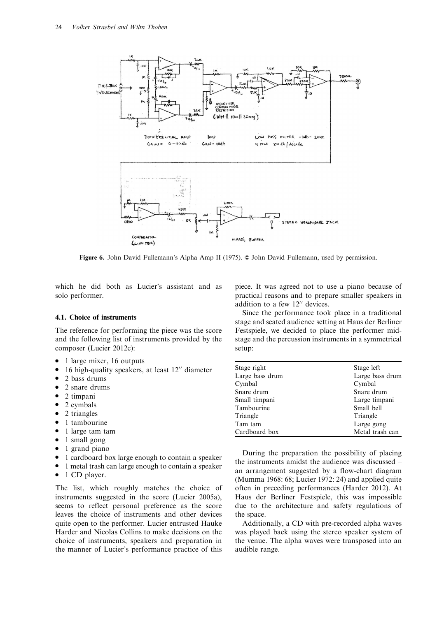<span id="page-7-0"></span>

Figure 6. John David Fullemann's Alpha Amp II (1975). & John David Fullemann, used by permission.

which he did both as Lucier's assistant and as solo performer.

## 4.1. Choice of instruments

The reference for performing the piece was the score and the following list of instruments provided by the composer (Lucier [2012c](#page-11-0)):

- 1 large mixer, 16 outputs
- $\bullet$  16 high-quality speakers, at least 12" diameter
- 2 bass drums
- 2 snare drums
- <sup>&</sup>gt; 2 timpani
- 2 cymbals
- 2 triangles
- 1 tambourine
- 1 large tam tam
- $\bullet$  1 small gong
- $\bullet$  1 grand piano
- <sup>&</sup>gt; 1 cardboard box large enough to contain a speaker
- <sup>&</sup>gt; 1 metal trash can large enough to contain a speaker
- <sup>&</sup>gt; 1 CD player.

The list, which roughly matches the choice of instruments suggested in the score (Lucier [2005a](#page-11-0)), seems to reflect personal preference as the score leaves the choice of instruments and other devices quite open to the performer. Lucier entrusted Hauke Harder and Nicolas Collins to make decisions on the choice of instruments, speakers and preparation in the manner of Lucier's performance practice of this piece. It was agreed not to use a piano because of practical reasons and to prepare smaller speakers in addition to a few 12" devices.

Since the performance took place in a traditional stage and seated audience setting at Haus der Berliner Festspiele, we decided to place the performer midstage and the percussion instruments in a symmetrical setup:

| Stage right     | Stage left      |
|-----------------|-----------------|
| Large bass drum | Large bass drum |
| Cymbal          | Cymbal          |
| Snare drum      | Snare drum      |
| Small timpani   | Large timpani   |
| Tambourine      | Small bell      |
| Triangle        | Triangle        |
| Tam tam         | Large gong      |
| Cardboard box   | Metal trash can |

During the preparation the possibility of placing the instruments amidst the audience was discussed – an arrangement suggested by a flow-chart diagram (Mumma [1968:](#page-11-0) 68; Lucier [1972:](#page-11-0) 24) and applied quite often in preceding performances (Harder [2012\)](#page-11-0). At Haus der Berliner Festspiele, this was impossible due to the architecture and safety regulations of the space.

Additionally, a CD with pre-recorded alpha waves was played back using the stereo speaker system of the venue. The alpha waves were transposed into an audible range.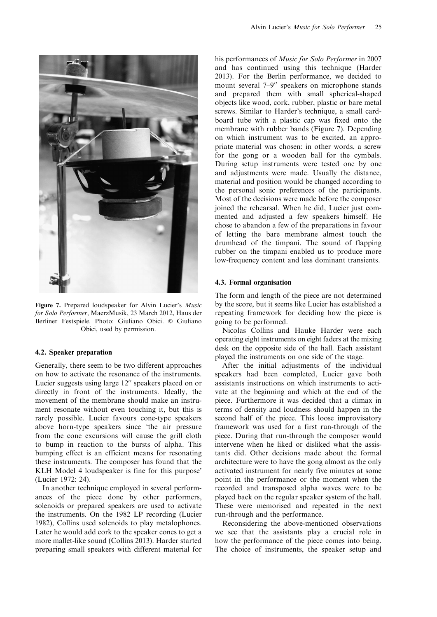

Figure 7. Prepared loudspeaker for Alvin Lucier's *Music* for Solo Performer, MaerzMusik, 23 March 2012, Haus der Berliner Festspiele. Photo: Giuliano Obici. © Giuliano Obici, used by permission.

## 4.2. Speaker preparation

Generally, there seem to be two different approaches on how to activate the resonance of the instruments. Lucier suggests using large 12" speakers placed on or directly in front of the instruments. Ideally, the movement of the membrane should make an instrument resonate without even touching it, but this is rarely possible. Lucier favours cone-type speakers above horn-type speakers since 'the air pressure from the cone excursions will cause the grill cloth to bump in reaction to the bursts of alpha. This bumping effect is an efficient means for resonating these instruments. The composer has found that the KLH Model 4 loudspeaker is fine for this purpose' (Lucier [1972:](#page-11-0) 24).

In another technique employed in several performances of the piece done by other performers, solenoids or prepared speakers are used to activate the instruments. On the 1982 LP recording (Lucier [1982\)](#page-11-0), Collins used solenoids to play metalophones. Later he would add cork to the speaker cones to get a more mallet-like sound (Collins [2013\)](#page-10-0). Harder started preparing small speakers with different material for his performances of Music for Solo Performer in 2007 and has continued using this technique (Harder [2013\)](#page-11-0). For the Berlin performance, we decided to mount several  $7-9$ <sup>"</sup> speakers on microphone stands and prepared them with small spherical-shaped objects like wood, cork, rubber, plastic or bare metal screws. Similar to Harder's technique, a small cardboard tube with a plastic cap was fixed onto the membrane with rubber bands (Figure 7). Depending on which instrument was to be excited, an appropriate material was chosen: in other words, a screw for the gong or a wooden ball for the cymbals. During setup instruments were tested one by one and adjustments were made. Usually the distance, material and position would be changed according to the personal sonic preferences of the participants. Most of the decisions were made before the composer joined the rehearsal. When he did, Lucier just commented and adjusted a few speakers himself. He chose to abandon a few of the preparations in favour of letting the bare membrane almost touch the drumhead of the timpani. The sound of flapping rubber on the timpani enabled us to produce more low-frequency content and less dominant transients.

#### 4.3. Formal organisation

The form and length of the piece are not determined by the score, but it seems like Lucier has established a repeating framework for deciding how the piece is going to be performed.

Nicolas Collins and Hauke Harder were each operating eight instruments on eight faders at the mixing desk on the opposite side of the hall. Each assistant played the instruments on one side of the stage.

After the initial adjustments of the individual speakers had been completed, Lucier gave both assistants instructions on which instruments to activate at the beginning and which at the end of the piece. Furthermore it was decided that a climax in terms of density and loudness should happen in the second half of the piece. This loose improvisatory framework was used for a first run-through of the piece. During that run-through the composer would intervene when he liked or disliked what the assistants did. Other decisions made about the formal architecture were to have the gong almost as the only activated instrument for nearly five minutes at some point in the performance or the moment when the recorded and transposed alpha waves were to be played back on the regular speaker system of the hall. These were memorised and repeated in the next run-through and the performance.

Reconsidering the above-mentioned observations we see that the assistants play a crucial role in how the performance of the piece comes into being. The choice of instruments, the speaker setup and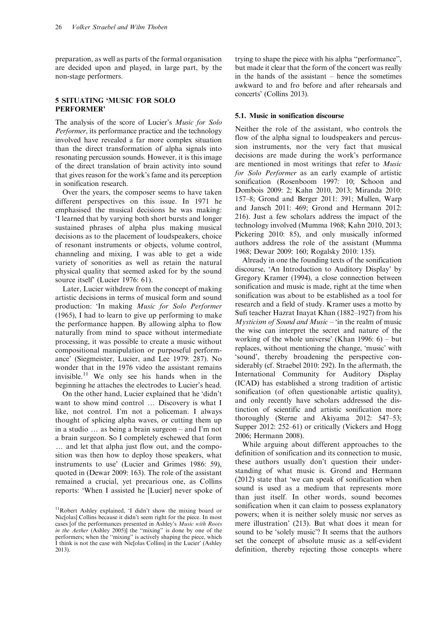preparation, as well as parts of the formal organisation are decided upon and played, in large part, by the non-stage performers.

# 5 SITUATING 'MUSIC FOR SOLO PERFORMER'

The analysis of the score of Lucier's Music for Solo Performer, its performance practice and the technology involved have revealed a far more complex situation than the direct transformation of alpha signals into resonating percussion sounds. However, it is this image of the direct translation of brain activity into sound that gives reason for the work's fame and its perception in sonification research.

Over the years, the composer seems to have taken different perspectives on this issue. In 1971 he emphasised the musical decisions he was making: 'I learned that by varying both short bursts and longer sustained phrases of alpha plus making musical decisions as to the placement of loudspeakers, choice of resonant instruments or objects, volume control, channeling and mixing, I was able to get a wide variety of sonorities as well as retain the natural physical quality that seemed asked for by the sound source itself' (Lucier [1976](#page-11-0): 61).

Later, Lucier withdrew from the concept of making artistic decisions in terms of musical form and sound production: 'In making Music for Solo Performer (1965), I had to learn to give up performing to make the performance happen. By allowing alpha to flow naturally from mind to space without intermediate processing, it was possible to create a music without compositional manipulation or purposeful performance' (Siegmeister, Lucier, and Lee 1979: 287). No wonder that in the 1976 video the assistant remains invisible.<sup>11</sup> We only see his hands when in the beginning he attaches the electrodes to Lucier's head.

On the other hand, Lucier explained that he 'didn't want to show mind control ... Discovery is what I like, not control. I'm not a policeman. I always thought of splicing alpha waves, or cutting them up in a studio  $\ldots$  as being a brain surgeon – and I'm not a brain surgeon. So I completely eschewed that form ... and let that alpha just flow out, and the composition was then how to deploy those speakers, what instruments to use' (Lucier and Grimes [1986:](#page-11-0) 59), quoted in (Dewar [2009](#page-10-0): 163). The role of the assistant remained a crucial, yet precarious one, as Collins reports: 'When I assisted he [Lucier] never spoke of trying to shape the piece with his alpha ''performance'', but made it clear that the form of the concert was really in the hands of the assistant – hence the sometimes awkward to and fro before and after rehearsals and concerts' (Collins [2013](#page-10-0)).

## 5.1. Music in sonification discourse

Neither the role of the assistant, who controls the flow of the alpha signal to loudspeakers and percussion instruments, nor the very fact that musical decisions are made during the work's performance are mentioned in most writings that refer to Music for Solo Performer as an early example of artistic sonification (Rosenboom [1997:](#page-11-0) 10; Schoon and Dombois [2009](#page-11-0): 2; Kahn [2010](#page-11-0), [2013;](#page-11-0) Miranda [2010:](#page-11-0) 157–8; Grond and Berger [2011:](#page-11-0) 391; Mullen, Warp and Jansch [2011](#page-11-0): 469; Grond and Hermann [2012:](#page-11-0) 216). Just a few scholars address the impact of the technology involved (Mumma [1968;](#page-11-0) Kahn [2010, 2013;](#page-11-0) Pickering [2010](#page-11-0): 85), and only musically informed authors address the role of the assistant (Mumma [1968;](#page-11-0) Dewar [2009:](#page-10-0) 160; Rogalsky [2010:](#page-11-0) 135).

Already in one the founding texts of the sonification discourse, 'An Introduction to Auditory Display' by Gregory Kramer [\(1994\)](#page-11-0), a close connection between sonification and music is made, right at the time when sonification was about to be established as a tool for research and a field of study. Kramer uses a motto by Sufi teacher Hazrat Inayat Khan (1882–1927) from his *Mysticism of Sound and Music* – 'in the realm of music the wise can interpret the secret and nature of the working of the whole universe' (Khan [1996:](#page-11-0)  $6$ ) – but replaces, without mentioning the change, 'music' with 'sound', thereby broadening the perspective considerably (cf. Straebel [2010:](#page-12-0) 292). In the aftermath, the International Community for Auditory Display (ICAD) has established a strong tradition of artistic sonification (of often questionable artistic quality), and only recently have scholars addressed the distinction of scientific and artistic sonification more thoroughly (Sterne and Akiyama [2012](#page-12-0): 547–53; Supper [2012](#page-12-0): 252–61) or critically (Vickers and Hogg [2006;](#page-12-0) Hermann [2008\)](#page-11-0).

While arguing about different approaches to the definition of sonification and its connection to music, these authors usually don't question their understanding of what music is. Grond and Hermann ([2012\)](#page-11-0) state that 'we can speak of sonification when sound is used as a medium that represents more than just itself. In other words, sound becomes sonification when it can claim to possess explanatory powers; when it is neither solely music nor serves as mere illustration' (213). But what does it mean for sound to be 'solely music'? It seems that the authors set the concept of absolute music as a self-evident definition, thereby rejecting those concepts where

<sup>11</sup>Robert Ashley explained, 'I didn't show the mixing board or Nic[olas] Collins because it didn't seem right for the piece. In most cases [of the performances presented in Ashley's Music with Roots in the Aether (Ashley [2005\)](#page-10-0)] the "mixing" is done by one of the performers; when the ''mixing'' is actively shaping the piece, which I think is not the case with Nic[olas Collins] in the Lucier' (Ashley [2013](#page-10-0)).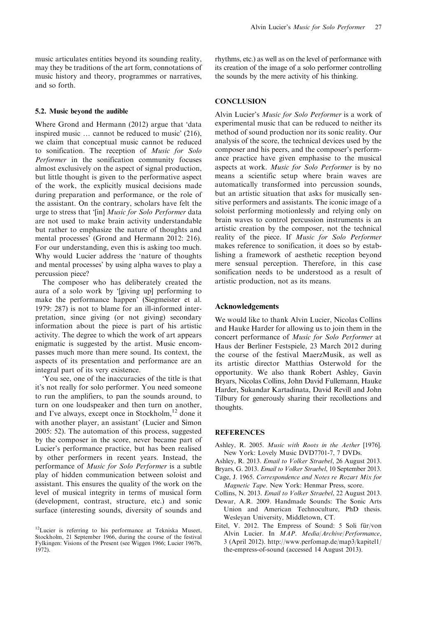<span id="page-10-0"></span>music articulates entities beyond its sounding reality, may they be traditions of the art form, connotations of music history and theory, programmes or narratives, and so forth.

#### 5.2. Music beyond the audible

Where Grond and Hermann ([2012\)](#page-11-0) argue that 'data inspired music  $\ldots$  cannot be reduced to music' (216), we claim that conceptual music cannot be reduced to sonification. The reception of Music for Solo Performer in the sonification community focuses almost exclusively on the aspect of signal production, but little thought is given to the performative aspect of the work, the explicitly musical decisions made during preparation and performance, or the role of the assistant. On the contrary, scholars have felt the urge to stress that '[in] Music for Solo Performer data are not used to make brain activity understandable but rather to emphasize the nature of thoughts and mental processes' (Grond and Hermann [2012](#page-11-0): 216). For our understanding, even this is asking too much. Why would Lucier address the 'nature of thoughts and mental processes' by using alpha waves to play a percussion piece?

The composer who has deliberately created the aura of a solo work by '[giving up] performing to make the performance happen' (Siegmeister et al. [1979:](#page-12-0) 287) is not to blame for an ill-informed interpretation, since giving (or not giving) secondary information about the piece is part of his artistic activity. The degree to which the work of art appears enigmatic is suggested by the artist. Music encompasses much more than mere sound. Its context, the aspects of its presentation and performance are an integral part of its very existence.

'You see, one of the inaccuracies of the title is that it's not really for solo performer. You need someone to run the amplifiers, to pan the sounds around, to turn on one loudspeaker and then turn on another, and I've always, except once in Stockholm, $^{12}$  done it with another player, an assistant' (Lucier and Simon [2005:](#page-11-0) 52). The automation of this process, suggested by the composer in the score, never became part of Lucier's performance practice, but has been realised by other performers in recent years. Instead, the performance of Music for Solo Performer is a subtle play of hidden communication between soloist and assistant. This ensures the quality of the work on the level of musical integrity in terms of musical form (development, contrast, structure, etc.) and sonic surface (interesting sounds, diversity of sounds and rhythms, etc.) as well as on the level of performance with its creation of the image of a solo performer controlling the sounds by the mere activity of his thinking.

## **CONCLUSION**

Alvin Lucier's Music for Solo Performer is a work of experimental music that can be reduced to neither its method of sound production nor its sonic reality. Our analysis of the score, the technical devices used by the composer and his peers, and the composer's performance practice have given emphasise to the musical aspects at work. Music for Solo Performer is by no means a scientific setup where brain waves are automatically transformed into percussion sounds, but an artistic situation that asks for musically sensitive performers and assistants. The iconic image of a soloist performing motionlessly and relying only on brain waves to control percussion instruments is an artistic creation by the composer, not the technical reality of the piece. If Music for Solo Performer makes reference to sonification, it does so by establishing a framework of aesthetic reception beyond mere sensual perception. Therefore, in this case sonification needs to be understood as a result of artistic production, not as its means.

## Acknowledgements

We would like to thank Alvin Lucier, Nicolas Collins and Hauke Harder for allowing us to join them in the concert performance of Music for Solo Performer at Haus der Berliner Festspiele, 23 March 2012 during the course of the festival MaerzMusik, as well as its artistic director Matthias Osterwold for the opportunity. We also thank Robert Ashley, Gavin Bryars, Nicolas Collins, John David Fullemann, Hauke Harder, Sukandar Kartadinata, David Revill and John Tilbury for generously sharing their recollections and thoughts.

#### **REFERENCES**

- Ashley, R. 2005. Music with Roots in the Aether [1976]. New York: Lovely Music DVD7701-7, 7 DVDs.
- Ashley, R. 2013. Email to Volker Straebel, 26 August 2013.
- Bryars, G. 2013. Email to Volker Straebel, 10 September 2013.
- Cage, J. 1965. Correspondence and Notes re Rozart Mix for Magnetic Tape. New York: Henmar Press, score.
- Collins, N. 2013. Email to Volker Straebel, 22 August 2013.
- Dewar, A.R. 2009. Handmade Sounds: The Sonic Arts Union and American Technoculture, PhD thesis. Wesleyan University, Middletown, CT.
- Eitel, V. 2012. The Empress of Sound: 5 Soli für/von Alvin Lucier. In MAP. Media/Archive/Performance, 3 (April 2012). http://www.perfomap.de/map3/kapitel1/ the-empress-of-sound (accessed 14 August 2013).

<sup>&</sup>lt;sup>12</sup>Lucier is referring to his performance at Tekniska Museet, Stockholm, 21 September 1966, during the course of the festival Fylkingen: Visions of the Present (see Wiggen [1966](#page-12-0); Lucier [1967b,](#page-11-0) [1972\)](#page-11-0).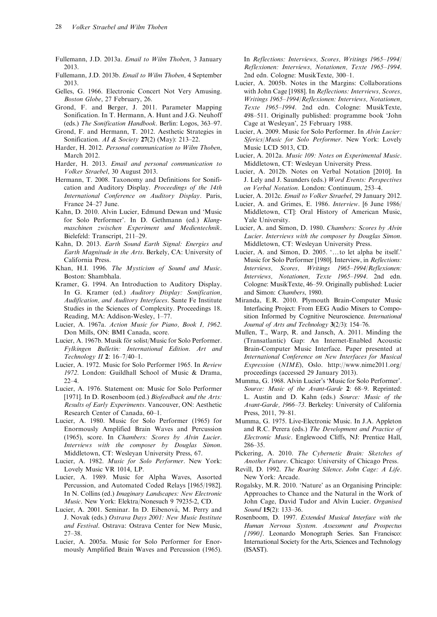- <span id="page-11-0"></span>Fullemann, J.D. 2013a. Email to Wilm Thoben, 3 January 2013.
- Fullemann, J.D. 2013b. Email to Wilm Thoben, 4 September 2013.
- Gelles, G. 1966. Electronic Concert Not Very Amusing. Boston Globe, 27 February, 26.
- Grond, F. and Berger, J. 2011. Parameter Mapping Sonification. In T. Hermann, A. Hunt and J.G. Neuhoff (eds.) The Sonification Handbook. Berlin: Logos, 363–97.
- Grond, F. and Hermann, T. 2012. Aesthetic Strategies in Sonification. AI & Society 27(2) (May): 213-22.
- Harder, H. 2012. Personal communication to Wilm Thoben, March 2012.
- Harder, H. 2013. Email and personal communication to Volker Straebel, 30 August 2013.
- Hermann, T. 2008. Taxonomy and Definitions for Sonification and Auditory Display. Proceedings of the 14th International Conference on Auditory Display. Paris, France 24–27 June.
- Kahn, D. 2010. Alvin Lucier, Edmund Dewan und 'Music for Solo Performer'. In D. Gethmann (ed.) Klangmaschinen zwischen Experiment und Medientechnik. Bielefeld: Transcript, 211–29.
- Kahn, D. 2013. Earth Sound Earth Signal: Energies and Earth Magnitude in the Arts. Berkely, CA: University of California Press.
- Khan, H.I. 1996. The Mysticism of Sound and Music. Boston: Shambhala.
- Kramer, G. 1994. An Introduction to Auditory Display. In G. Kramer (ed.) Auditory Display: Sonification, Audification, and Auditory Interfaces. Sante Fe Institute Studies in the Sciences of Complexity. Proceedings 18. Reading, MA: Addison-Wesley, 1–77.
- Lucier, A. 1967a. Action Music for Piano, Book I, 1962. Don Mills, ON: BMI Canada, score.
- Lucier, A. 1967b. Musik för solist/Music for Solo Performer. Fylkingen Bulletin: International Edition. Art and Technology II 2: 16–7/40–1.
- Lucier, A. 1972. Music for Solo Performer 1965. In Review 1972. London: Guildhall School of Music & Drama, 22–4.
- Lucier, A. 1976. Statement on: Music for Solo Performer [1971]. In D. Rosenboom (ed.) Biofeedback and the Arts: Results of Early Experiments. Vancouver, ON: Aesthetic Research Center of Canada, 60–1.
- Lucier, A. 1980. Music for Solo Performer (1965) for Enormously Amplified Brain Waves and Percussion (1965), score. In Chambers: Scores by Alvin Lucier. Interviews with the composer by Douglas Simon. Middletown, CT: Wesleyan University Press, 67.
- Lucier, A. 1982. Music for Solo Performer. New York: Lovely Music VR 1014, LP.
- Lucier, A. 1989. Music for Alpha Waves, Assorted Percussion, and Automated Coded Relays [1965/1982]. In N. Collins (ed.) Imaginary Landscapes: New Electronic Music. New York: Elektra/Nonesuch 9 79235-2, CD.
- Lucier, A. 2001. Seminar. In D. Eibenová, M. Perry and J. Novak (eds.) Ostrava Days 2001: New Music Institute and Festival. Ostrava: Ostrava Center for New Music, 27–38.
- Lucier, A. 2005a. Music for Solo Performer for Enormously Amplified Brain Waves and Percussion (1965).

In Reflections: Interviews, Scores, Writings 1965–1994/ Reflexionen: Interviews, Notationen, Texte 1965–1994. 2nd edn. Cologne: MusikTexte, 300–1.

- Lucier, A. 2005b. Notes in the Margins: Collaborations with John Cage [1988]. In Reflections: Interviews, Scores, Writings 1965–1994/Reflexionen: Interviews, Notationen, Texte 1965–1994. 2nd edn. Cologne: MusikTexte, 498–511. Originally published: programme book 'John Cage at Wesleyan', 25 February 1988.
- Lucier, A. 2009. Music for Solo Performer. In Alvin Lucier: Sferics/Music for Solo Performer. New York: Lovely Music LCD 5013, CD.
- Lucier, A. 2012a. Music 109: Notes on Experimental Music. Middletown, CT: Wesleyan University Press.
- Lucier, A. 2012b. Notes on Verbal Notation [2010]. In J. Lely and J. Saunders (eds.) Word Events: Perspectives on Verbal Notation. London: Continuum, 253–4.
- Lucier, A. 2012c. Email to Volker Straebel, 29 January 2012.
- Lucier, A. and Grimes, E. 1986. Interview. [6 June 1986/ Middletown, CT]: Oral History of American Music, Yale University.
- Lucier, A. and Simon, D. 1980. Chambers: Scores by Alvin Lucier. Interviews with the composer by Douglas Simon. Middletown, CT: Wesleyan University Press.
- Lucier, A. and Simon, D. 2005. '...to let alpha be itself.' Music for Solo Performer [1980]. Interview, in Reflections: Interviews, Scores, Writings 1965–1994/Reflexionen: Interviews, Notationen, Texte 1965–1994. 2nd edn. Cologne: MusikTexte, 46–59. Originally published: Lucier and Simon: Chambers, 1980.
- Miranda, E.R. 2010. Plymouth Brain-Computer Music Interfacing Project: From EEG Audio Mixers to Composition Informed by Cognitive Neuroscience. International Journal of Arts and Technology 3(2/3): 154–76.
- Mullen, T., Warp, R. and Jansch, A. 2011. Minding the (Transatlantic) Gap: An Internet-Enabled Acoustic Brain-Computer Music Interface. Paper presented at International Conference on New Interfaces for Musical Expression (NIME), Oslo. http://www.nime2011.org/ proceedings (accessed 29 January 2013).
- Mumma, G. 1968. Alvin Lucier's 'Music for Solo Performer'. Source: Music of the Avant-Garde 2: 68–9. Reprinted: L. Austin and D. Kahn (eds.) Source: Music of the Avant-Garde, 1966–73. Berkeley: University of California Press, 2011, 79–81.
- Mumma, G. 1975. Live-Electronic Music. In J.A. Appleton and R.C. Perera (eds.) The Development and Practice of Electronic Music. Englewood Cliffs, NJ: Prentice Hall, 286–35.
- Pickering, A. 2010. The Cybernetic Brain: Sketches of Another Future. Chicago: University of Chicago Press.
- Revill, D. 1992. The Roaring Silence. John Cage: A Life. New York: Arcade.
- Rogalsky, M.R. 2010. 'Nature' as an Organising Principle: Approaches to Chance and the Natural in the Work of John Cage, David Tudor and Alvin Lucier. Organised Sound 15(2): 133-36.
- Rosenboom, D. 1997. Extended Musical Interface with the Human Nervous System. Assessment and Prospectus [1990]. Leonardo Monograph Series. San Francisco: International Society for the Arts, Sciences and Technology (ISAST).